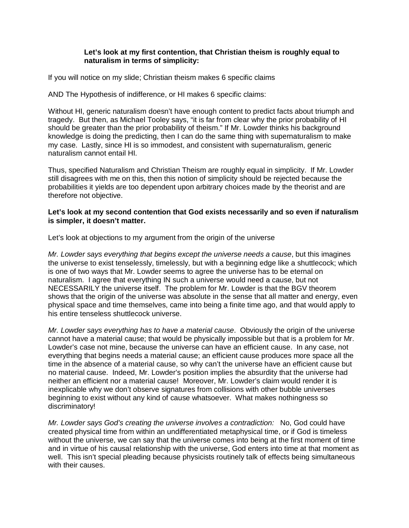## **Let's look at my first contention, that Christian theism is roughly equal to naturalism in terms of simplicity:**

If you will notice on my slide; Christian theism makes 6 specific claims

AND The Hypothesis of indifference, or HI makes 6 specific claims:

Without HI, generic naturalism doesn't have enough content to predict facts about triumph and tragedy. But then, as Michael Tooley says, "it is far from clear why the prior probability of HI should be greater than the prior probability of theism." If Mr. Lowder thinks his background knowledge is doing the predicting, then I can do the same thing with supernaturalism to make my case. Lastly, since HI is so immodest, and consistent with supernaturalism, generic naturalism cannot entail HI.

Thus, specified Naturalism and Christian Theism are roughly equal in simplicity. If Mr. Lowder still disagrees with me on this, then this notion of simplicity should be rejected because the probabilities it yields are too dependent upon arbitrary choices made by the theorist and are therefore not objective.

## **Let's look at my second contention that God exists necessarily and so even if naturalism is simpler, it doesn't matter.**

Let's look at objections to my argument from the origin of the universe

*Mr. Lowder says everything that begins except the universe needs a cause*, but this imagines the universe to exist tenselessly, timelessly, but with a beginning edge like a shuttlecock; which is one of two ways that Mr. Lowder seems to agree the universe has to be eternal on naturalism. I agree that everything IN such a universe would need a cause, but not NECESSARILY the universe itself. The problem for Mr. Lowder is that the BGV theorem shows that the origin of the universe was absolute in the sense that all matter and energy, even physical space and time themselves, came into being a finite time ago, and that would apply to his entire tenseless shuttlecock universe.

*Mr. Lowder says everything has to have a material cause*. Obviously the origin of the universe cannot have a material cause; that would be physically impossible but that is a problem for Mr. Lowder's case not mine, because the universe can have an efficient cause. In any case, not everything that begins needs a material cause; an efficient cause produces more space all the time in the absence of a material cause, so why can't the universe have an efficient cause but no material cause. Indeed, Mr. Lowder's position implies the absurdity that the universe had neither an efficient nor a material cause! Moreover, Mr. Lowder's claim would render it is inexplicable why we don't observe signatures from collisions with other bubble universes beginning to exist without any kind of cause whatsoever. What makes nothingness so discriminatory!

*Mr. Lowder says God's creating the universe involves a contradiction:* No, God could have created physical time from within an undifferentiated metaphysical time, or if God is timeless without the universe, we can say that the universe comes into being at the first moment of time and in virtue of his causal relationship with the universe, God enters into time at that moment as well. This isn't special pleading because physicists routinely talk of effects being simultaneous with their causes.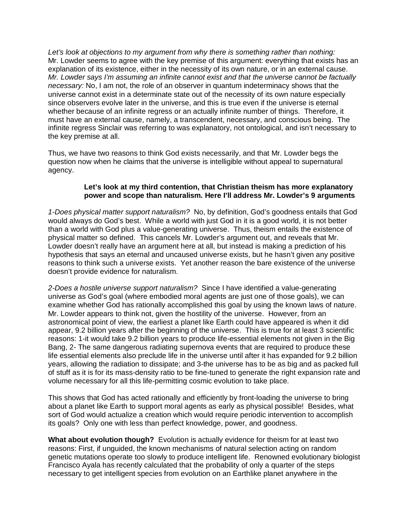*Let's look at objections to my argument from why there is something rather than nothing:* Mr. Lowder seems to agree with the key premise of this argument: everything that exists has an explanation of its existence, either in the necessity of its own nature, or in an external cause. *Mr. Lowder says I'm assuming an infinite cannot exist and that the universe cannot be factually necessary:* No, I am not, the role of an observer in quantum indeterminacy shows that the universe cannot exist in a determinate state out of the necessity of its own nature especially since observers evolve later in the universe, and this is true even if the universe is eternal whether because of an infinite regress or an actually infinite number of things. Therefore, it must have an external cause, namely, a transcendent, necessary, and conscious being. The infinite regress Sinclair was referring to was explanatory, not ontological, and isn't necessary to the key premise at all.

Thus, we have two reasons to think God exists necessarily, and that Mr. Lowder begs the question now when he claims that the universe is intelligible without appeal to supernatural agency.

# **Let's look at my third contention, that Christian theism has more explanatory power and scope than naturalism. Here I'll address Mr. Lowder's 9 arguments**

*1-Does physical matter support naturalism?* No, by definition, God's goodness entails that God would always do God's best. While a world with just God in it is a good world, it is not better than a world with God plus a value-generating universe. Thus, theism entails the existence of physical matter so defined. This cancels Mr. Lowder's argument out, and reveals that Mr. Lowder doesn't really have an argument here at all, but instead is making a prediction of his hypothesis that says an eternal and uncaused universe exists, but he hasn't given any positive reasons to think such a universe exists. Yet another reason the bare existence of the universe doesn't provide evidence for naturalism.

*2-Does a hostile universe support naturalism?* Since I have identified a value-generating universe as God's goal (where embodied moral agents are just one of those goals), we can examine whether God has rationally accomplished this goal by using the known laws of nature. Mr. Lowder appears to think not, given the hostility of the universe. However, from an astronomical point of view, the earliest a planet like Earth could have appeared is when it did appear, 9.2 billion years after the beginning of the universe. This is true for at least 3 scientific reasons: 1-it would take 9.2 billion years to produce life-essential elements not given in the Big Bang, 2- The same dangerous radiating supernova events that are required to produce these life essential elements also preclude life in the universe until after it has expanded for 9.2 billion years, allowing the radiation to dissipate; and 3-the universe has to be as big and as packed full of stuff as it is for its mass-density ratio to be fine-tuned to generate the right expansion rate and volume necessary for all this life-permitting cosmic evolution to take place.

This shows that God has acted rationally and efficiently by front-loading the universe to bring about a planet like Earth to support moral agents as early as physical possible! Besides, what sort of God would actualize a creation which would require periodic intervention to accomplish its goals? Only one with less than perfect knowledge, power, and goodness.

**What about evolution though?** Evolution is actually evidence for theism for at least two reasons: First, if unguided, the known mechanisms of natural selection acting on random genetic mutations operate too slowly to produce intelligent life. Renowned evolutionary biologist Francisco Ayala has recently calculated that the probability of only a quarter of the steps necessary to get intelligent species from evolution on an Earthlike planet anywhere in the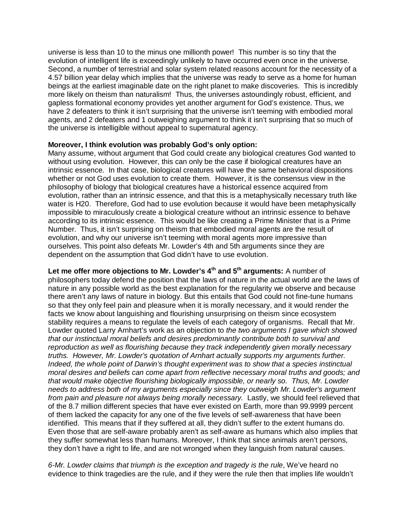universe is less than 10 to the minus one millionth power! This number is so tiny that the evolution of intelligent life is exceedingly unlikely to have occurred even once in the universe. Second, a number of terrestrial and solar system related reasons account for the necessity of a 4.57 billion year delay which implies that the universe was ready to serve as a home for human beings at the earliest imaginable date on the right planet to make discoveries. This is incredibly more likely on theism than naturalism! Thus, the universes astoundingly robust, efficient, and gapless formational economy provides yet another argument for God's existence. Thus, we have 2 defeaters to think it isn't surprising that the universe isn't teeming with embodied moral agents, and 2 defeaters and 1 outweighing argument to think it isn't surprising that so much of the universe is intelligible without appeal to supernatural agency.

#### **Moreover, I think evolution was probably God's only option:**

Many assume, without argument that God could create any biological creatures God wanted to without using evolution. However, this can only be the case if biological creatures have an intrinsic essence. In that case, biological creatures will have the same behavioral dispositions whether or not God uses evolution to create them. However, it is the consensus view in the philosophy of biology that biological creatures have a historical essence acquired from evolution, rather than an intrinsic essence, and that this is a metaphysically necessary truth like water is H20. Therefore, God had to use evolution because it would have been metaphysically impossible to miraculously create a biological creature without an intrinsic essence to behave according to its intrinsic essence. This would be like creating a Prime Minister that is a Prime Number. Thus, it isn't surprising on theism that embodied moral agents are the result of evolution, and why our universe isn't teeming with moral agents more impressive than ourselves. This point also defeats Mr. Lowder's 4th and 5th arguments since they are dependent on the assumption that God didn't have to use evolution.

**Let me offer more objections to Mr. Lowder's 4th and 5th arguments:** A number of philosophers today defend the position that the laws of nature in the actual world are the laws of nature in any possible world as the best explanation for the regularity we observe and because there aren't any laws of nature in biology. But this entails that God could not fine-tune humans so that they only feel pain and pleasure when it is morally necessary, and it would render the facts we know about languishing and flourishing unsurprising on theism since ecosystem stability requires a means to regulate the levels of each category of organisms. Recall that Mr. Lowder quoted Larry Arnhart's work as an objection to *the two arguments I gave which showed that our instinctual moral beliefs and desires predominantly contribute both to survival and reproduction as well as flourishing because they track independently given morally necessary truths. However, Mr. Lowder's quotation of Arnhart actually supports my arguments further. Indeed, the whole point of Darwin's thought experiment was to show that a species instinctual moral desires and beliefs can come apart from reflective necessary moral truths and goods; and that would make objective flourishing biologically impossible, or nearly so. Thus, Mr. Lowder needs to address both of my arguments especially since they outweigh Mr. Lowder's argument from pain and pleasure not always being morally necessary.* Lastly, we should feel relieved that of the 8.7 million different species that have ever existed on Earth, more than 99.9999 percent of them lacked the capacity for any one of the five levels of self-awareness that have been identified. This means that if they suffered at all, they didn't suffer to the extent humans do. Even those that are self-aware probably aren't as self-aware as humans which also implies that they suffer somewhat less than humans. Moreover, I think that since animals aren't persons, they don't have a right to life, and are not wronged when they languish from natural causes.

*6-Mr. Lowder claims that triumph is the exception and tragedy is the rule*, We've heard no evidence to think tragedies are the rule, and if they were the rule then that implies life wouldn't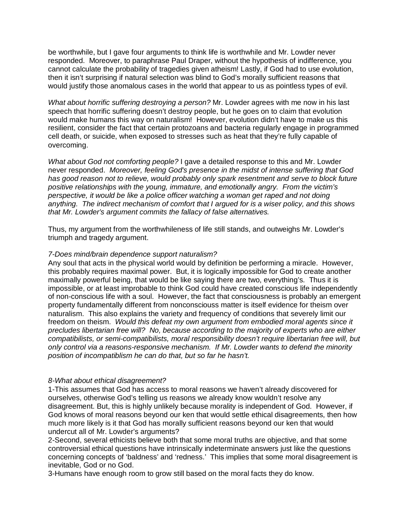be worthwhile, but I gave four arguments to think life is worthwhile and Mr. Lowder never responded. Moreover, to paraphrase Paul Draper, without the hypothesis of indifference, you cannot calculate the probability of tragedies given atheism! Lastly, if God had to use evolution, then it isn't surprising if natural selection was blind to God's morally sufficient reasons that would justify those anomalous cases in the world that appear to us as pointless types of evil.

*What about horrific suffering destroying a person?* Mr. Lowder agrees with me now in his last speech that horrific suffering doesn't destroy people, but he goes on to claim that evolution would make humans this way on naturalism! However, evolution didn't have to make us this resilient, consider the fact that certain protozoans and bacteria regularly engage in programmed cell death, or suicide, when exposed to stresses such as heat that they're fully capable of overcoming.

*What about God not comforting people?* I gave a detailed response to this and Mr. Lowder never responded. *Moreover, feeling God's presence in the midst of intense suffering that God has good reason not to relieve, would probably only spark resentment and serve to block future positive relationships with the young, immature, and emotionally angry. From the victim's perspective, it would be like a police officer watching a woman get raped and not doing anything. The indirect mechanism of comfort that I argued for is a wiser policy, and this shows that Mr. Lowder's argument commits the fallacy of false alternatives.*

Thus, my argument from the worthwhileness of life still stands, and outweighs Mr. Lowder's triumph and tragedy argument.

#### *7-Does mind/brain dependence support naturalism?*

Any soul that acts in the physical world would by definition be performing a miracle. However, this probably requires maximal power. But, it is logically impossible for God to create another maximally powerful being, that would be like saying there are two, everything's. Thus it is impossible, or at least improbable to think God could have created conscious life independently of non-conscious life with a soul. However, the fact that consciousness is probably an emergent property fundamentally different from nonconsciouss matter is itself evidence for theism over naturalism. This also explains the variety and frequency of conditions that severely limit our freedom on theism. *Would this defeat my own argument from embodied moral agents since it precludes libertarian free will? No, because according to the majority of experts who are either compatibilists, or semi-compatibilists, moral responsibility doesn't require libertarian free will, but only control via a reasons-responsive mechanism. If Mr. Lowder wants to defend the minority position of incompatiblism he can do that, but so far he hasn't.*

#### *8-What about ethical disagreement?*

1-This assumes that God has access to moral reasons we haven't already discovered for ourselves, otherwise God's telling us reasons we already know wouldn't resolve any disagreement. But, this is highly unlikely because morality is independent of God. However, if God knows of moral reasons beyond our ken that would settle ethical disagreements, then how much more likely is it that God has morally sufficient reasons beyond our ken that would undercut all of Mr. Lowder's arguments?

2-Second, several ethicists believe both that some moral truths are objective, and that some controversial ethical questions have intrinsically indeterminate answers just like the questions concerning concepts of 'baldness' and 'redness.' This implies that some moral disagreement is inevitable, God or no God.

3-Humans have enough room to grow still based on the moral facts they do know.